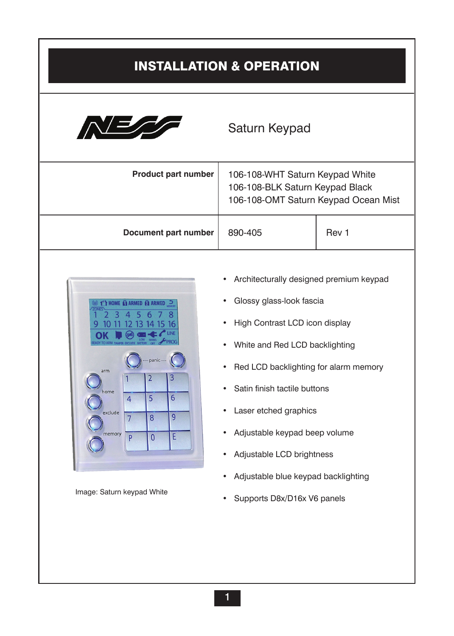# Installation & Operation



# Saturn Keypad

| <b>Product part number</b> | 106-108-WHT Saturn Keypad White<br>106-108-BLK Saturn Keypad Black<br>106-108-OMT Saturn Keypad Ocean Mist |       |
|----------------------------|------------------------------------------------------------------------------------------------------------|-------|
| Document part number       | 890-405                                                                                                    | Rev 1 |



- Architecturally designed premium keypad
- Glossy glass-look fascia
- High Contrast LCD icon display
- White and Red LCD backlighting
- Red LCD backlighting for alarm memory
- Satin finish tactile buttons
- Laser etched graphics
- Adjustable keypad beep volume
- Adjustable LCD brightness
- Adjustable blue keypad backlighting
- Image: Saturn keypad White<br>
Supports D8x/D16x V6 panels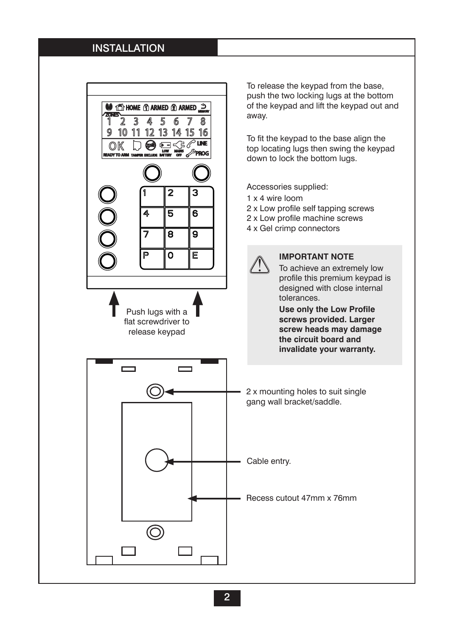#### **INSTALLATION**

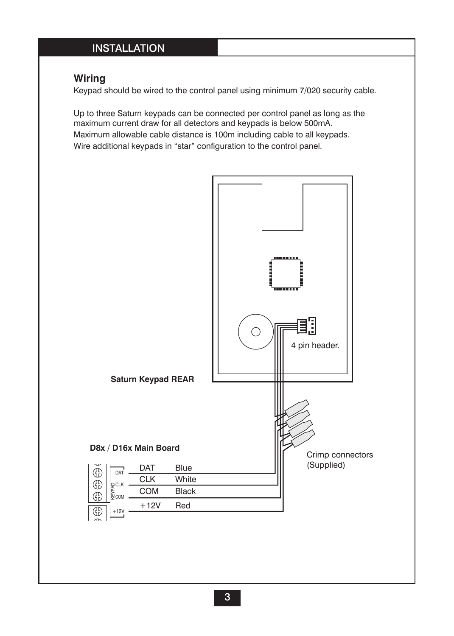## **INSTALLATION**

## **Wiring**

TELEPHONE

BOX TAMPER & PROGRAM LINK = Sealed, normal state = Tamper alarm state Power up with link off to enter installer program mode

Diagnostics. Connect an 8 Ohm horn speaker to

> **"HEARTBEAT" LED** Constantly flashes

Keypad should be wired to the control panel using minimum 7/020 security cable.

Up to three Saturn keypads can be connected per control panel as long as the maximum current draw for all detectors and keypads is below 500mA. Maximum allowable cable distance is 100m including cable to all keypads. Wire additional keypads in "star" configuration to the control panel.

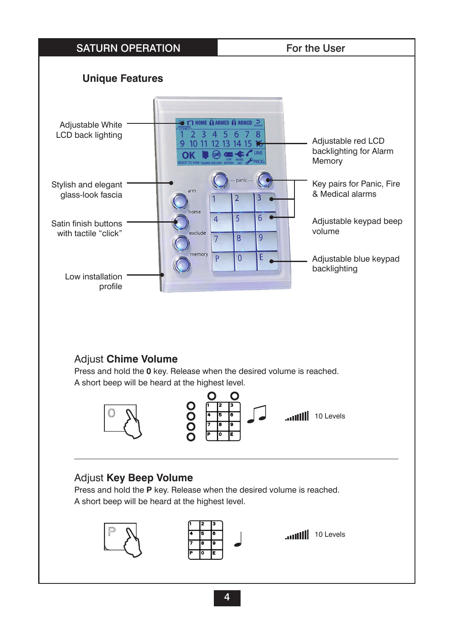#### SATURN OPERATION For the User **Unique FeaturesO 1 HOME & ARMED & ARMED 3** Adjustable White LCD back lighting  $\overline{2}$  $3\overline{4}$  $56$  $78$ Adjustable red LCD 9  $10<sup>°</sup>$ 11 12 13 14 15 16 backlighting for Alarm OK Memory Key pairs for Panic, Fire Stylish and elegant & Medical alarms glass-look fascia  $\overline{\phantom{a}}$ home 5 6  $\overline{a}$ Adjustable keypad beep Satin finish buttons volume with tactile "click" exclude  $\overline{7}$  $\overline{8}$  $\overline{9}$ memory  $\overline{0}$ p F Adjustable blue keypad backlighting Low installation profile Adjust **Chime Volume** Press and hold the **0** key. Release when the desired volume is reached. A short beep will be heard at the highest level. O r  $\breve{\rm c}$ 10 Levels Adjust **Key Beep Volume** Press and hold the **P** key. Release when the desired volume is reached. A short beep will be heard at the highest level. 10 Levels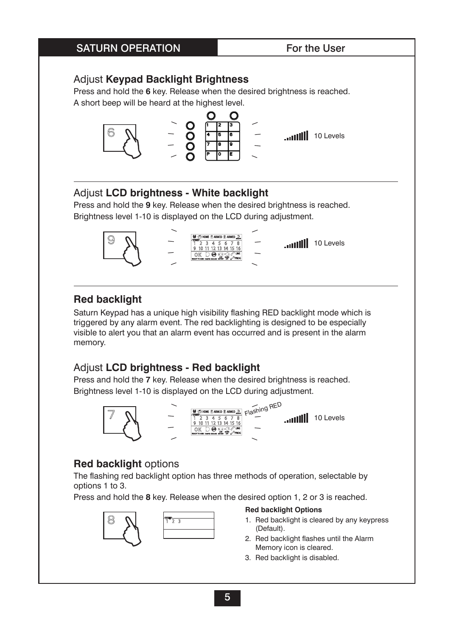#### SATURN OPERATION For the User

#### Adjust **Keypad Backlight Brightness**

Press and hold the **6** key. Release when the desired brightness is reached. A short beep will be heard at the highest level.



#### Adjust **LCD brightness - White backlight**

Press and hold the **9** key. Release when the desired brightness is reached. Brightness level 1-10 is displayed on the LCD during adjustment.



## **Red backlight**

Saturn Keypad has a unique high visibility flashing RED backlight mode which is triggered by any alarm event. The red backlighting is designed to be especially visible to alert you that an alarm event has occurred and is present in the alarm memory.

## Adjust **LCD brightness - Red backlight**

Press and hold the **7** key. Release when the desired brightness is reached. Brightness level 1-10 is displayed on the LCD during adjustment.



#### **Red backlight** options

The flashing red backlight option has three methods of operation, selectable by options 1 to 3.

Press and hold the **8** key. Release when the desired option 1, 2 or 3 is reached.



#### **Red backlight Options**

- 1. Red backlight is cleared by any keypress (Default).
- 2. Red backlight flashes until the Alarm Memory icon is cleared.
- 3. Red backlight is disabled.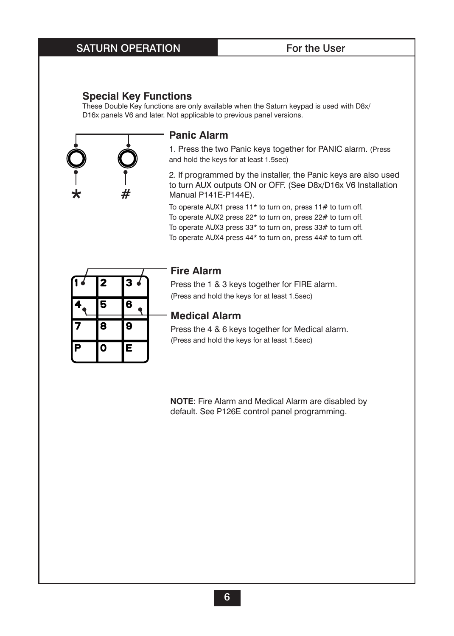#### SATURN OPERATION For the User

#### **Special Key Functions**

These Double Key functions are only available when the Saturn keypad is used with D8x/ D16x panels V6 and later. Not applicable to previous panel versions.



#### **Panic Alarm**

1. Press the two Panic keys together for PANIC alarm. (Press and hold the keys for at least 1.5sec)

2. If programmed by the installer, the Panic keys are also used to turn AUX outputs ON or OFF. (See D8x/D16x V6 Installation Manual P141E-P144E).

To operate AUX1 press 11\* to turn on, press 11# to turn off. To operate AUX2 press 22\* to turn on, press 22# to turn off. To operate AUX3 press 33\* to turn on, press 33# to turn off. To operate AUX4 press 44\* to turn on, press 44# to turn off.

| 4                       | 2 | $\overline{\mathbf{3}}$<br>$\overline{\bullet}$ |  |
|-------------------------|---|-------------------------------------------------|--|
| 4                       | 5 | 6                                               |  |
| 7                       | 8 | 9                                               |  |
| $\overline{\mathsf{P}}$ | Ō | E                                               |  |

#### **Fire Alarm**

Press the 1 & 3 keys together for FIRE alarm. (Press and hold the keys for at least 1.5sec)

#### **Medical Alarm**

Press the 4 & 6 keys together for Medical alarm. (Press and hold the keys for at least 1.5sec)

**NOTE:** Fire Alarm and Medical Alarm are disabled by default. See P126E control panel programming.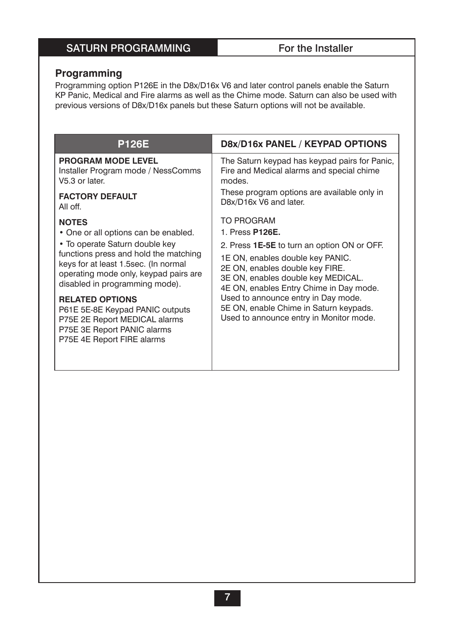# SATURN PROGRAMMING For the Installer

## **Programming**

Programming option P126E in the D8x/D16x V6 and later control panels enable the Saturn KP Panic, Medical and Fire alarms as well as the Chime mode. Saturn can also be used with previous versions of D8x/D16x panels but these Saturn options will not be available.

| <b>P126E</b>                                                                                                                                             | D8x/D16x PANEL / KEYPAD OPTIONS                                                                                                                      |  |
|----------------------------------------------------------------------------------------------------------------------------------------------------------|------------------------------------------------------------------------------------------------------------------------------------------------------|--|
| <b>PROGRAM MODE LEVEL</b><br>Installer Program mode / NessComms<br>V5.3 or later.                                                                        | The Saturn keypad has keypad pairs for Panic,<br>Fire and Medical alarms and special chime<br>modes.                                                 |  |
| <b>FACTORY DEFAULT</b><br>All off.                                                                                                                       | These program options are available only in<br>D8x/D16x V6 and later.                                                                                |  |
| <b>NOTES</b>                                                                                                                                             | <b>TO PROGRAM</b>                                                                                                                                    |  |
| • One or all options can be enabled.                                                                                                                     | 1. Press <b>P126E.</b>                                                                                                                               |  |
| • To operate Saturn double key                                                                                                                           | 2. Press 1E-5E to turn an option ON or OFF.                                                                                                          |  |
| functions press and hold the matching<br>keys for at least 1.5sec. (In normal<br>operating mode only, keypad pairs are<br>disabled in programming mode). | 1E ON, enables double key PANIC.<br>2E ON, enables double key FIRE.<br>3E ON, enables double key MEDICAL.<br>4E ON, enables Entry Chime in Day mode. |  |
| <b>RELATED OPTIONS</b><br>P61E 5E-8E Keypad PANIC outputs<br>P75E 2E Report MEDICAL alarms<br>P75E 3E Report PANIC alarms<br>P75E 4E Report FIRE alarms  | Used to announce entry in Day mode.<br>5E ON, enable Chime in Saturn keypads.<br>Used to announce entry in Monitor mode.                             |  |
|                                                                                                                                                          |                                                                                                                                                      |  |